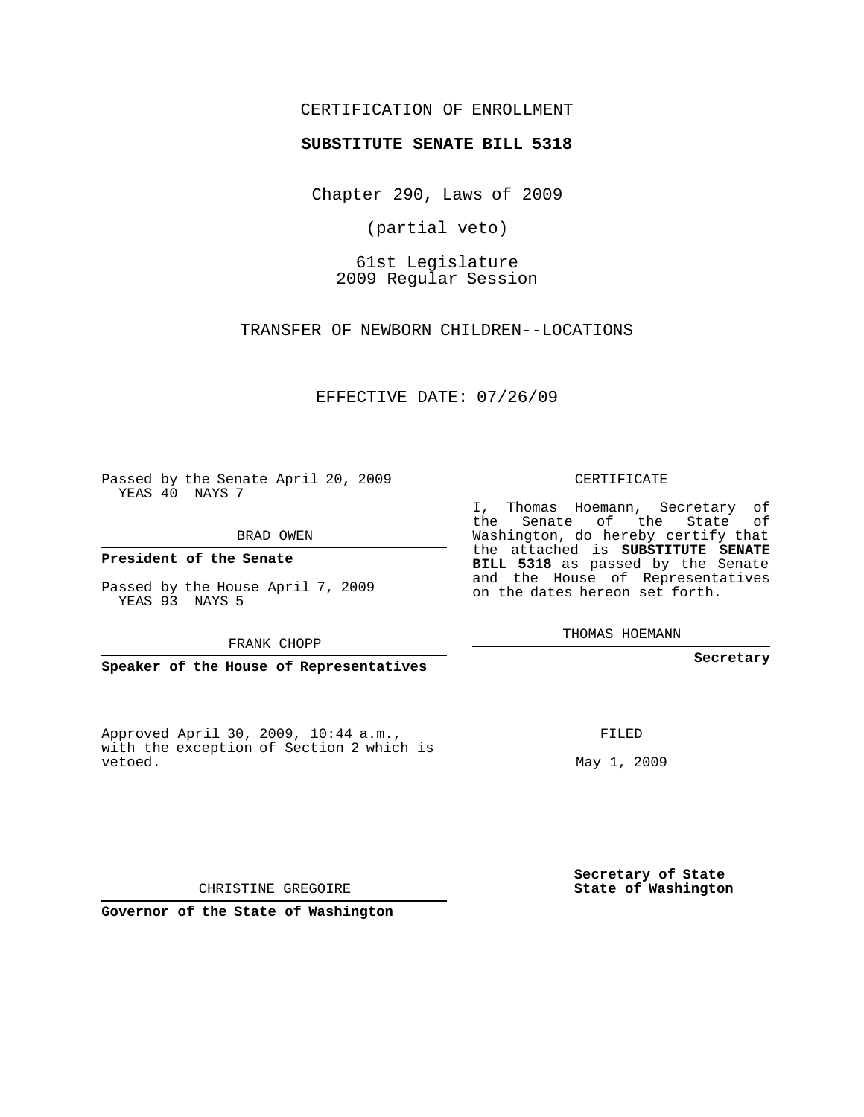## CERTIFICATION OF ENROLLMENT

## **SUBSTITUTE SENATE BILL 5318**

Chapter 290, Laws of 2009

(partial veto)

61st Legislature 2009 Regular Session

TRANSFER OF NEWBORN CHILDREN--LOCATIONS

EFFECTIVE DATE: 07/26/09

Passed by the Senate April 20, 2009 YEAS 40 NAYS 7

BRAD OWEN

**President of the Senate**

Passed by the House April 7, 2009 YEAS 93 NAYS 5

FRANK CHOPP

**Speaker of the House of Representatives**

Approved April 30, 2009, 10:44 a.m., with the exception of Section 2 which is vetoed.

CERTIFICATE

I, Thomas Hoemann, Secretary of the Senate of the State of Washington, do hereby certify that the attached is **SUBSTITUTE SENATE BILL 5318** as passed by the Senate and the House of Representatives on the dates hereon set forth.

THOMAS HOEMANN

**Secretary**

FILED

May 1, 2009

**Secretary of State State of Washington**

CHRISTINE GREGOIRE

**Governor of the State of Washington**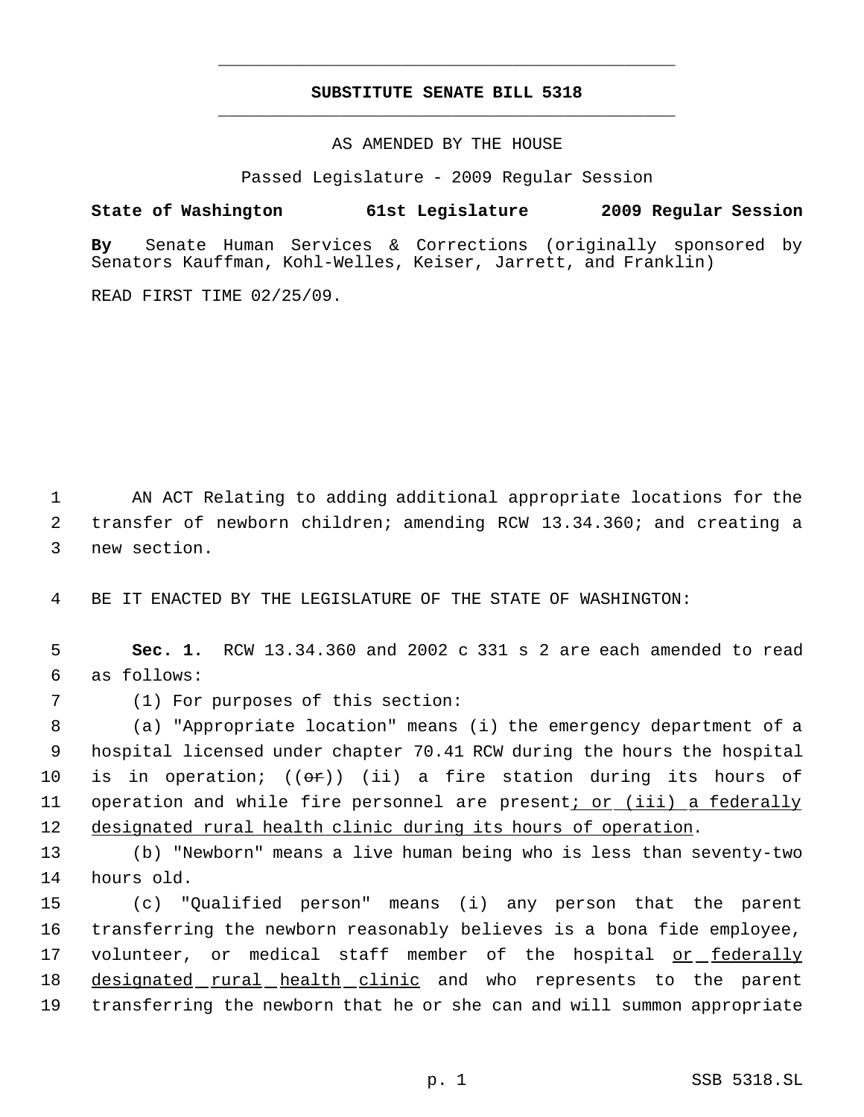## **SUBSTITUTE SENATE BILL 5318** \_\_\_\_\_\_\_\_\_\_\_\_\_\_\_\_\_\_\_\_\_\_\_\_\_\_\_\_\_\_\_\_\_\_\_\_\_\_\_\_\_\_\_\_\_

\_\_\_\_\_\_\_\_\_\_\_\_\_\_\_\_\_\_\_\_\_\_\_\_\_\_\_\_\_\_\_\_\_\_\_\_\_\_\_\_\_\_\_\_\_

AS AMENDED BY THE HOUSE

Passed Legislature - 2009 Regular Session

**State of Washington 61st Legislature 2009 Regular Session**

**By** Senate Human Services & Corrections (originally sponsored by Senators Kauffman, Kohl-Welles, Keiser, Jarrett, and Franklin)

READ FIRST TIME 02/25/09.

 1 AN ACT Relating to adding additional appropriate locations for the 2 transfer of newborn children; amending RCW 13.34.360; and creating a 3 new section.

4 BE IT ENACTED BY THE LEGISLATURE OF THE STATE OF WASHINGTON:

 5 **Sec. 1.** RCW 13.34.360 and 2002 c 331 s 2 are each amended to read 6 as follows:

7 (1) For purposes of this section:

 8 (a) "Appropriate location" means (i) the emergency department of a 9 hospital licensed under chapter 70.41 RCW during the hours the hospital 10 is in operation;  $((\theta \hat{r}))$  (ii) a fire station during its hours of 11 operation and while fire personnel are present; or (iii) a federally 12 designated rural health clinic during its hours of operation.

13 (b) "Newborn" means a live human being who is less than seventy-two 14 hours old.

15 (c) "Qualified person" means (i) any person that the parent 16 transferring the newborn reasonably believes is a bona fide employee, 17 volunteer, or medical staff member of the hospital <u>or federally</u> 18 designated rural health clinic and who represents to the parent 19 transferring the newborn that he or she can and will summon appropriate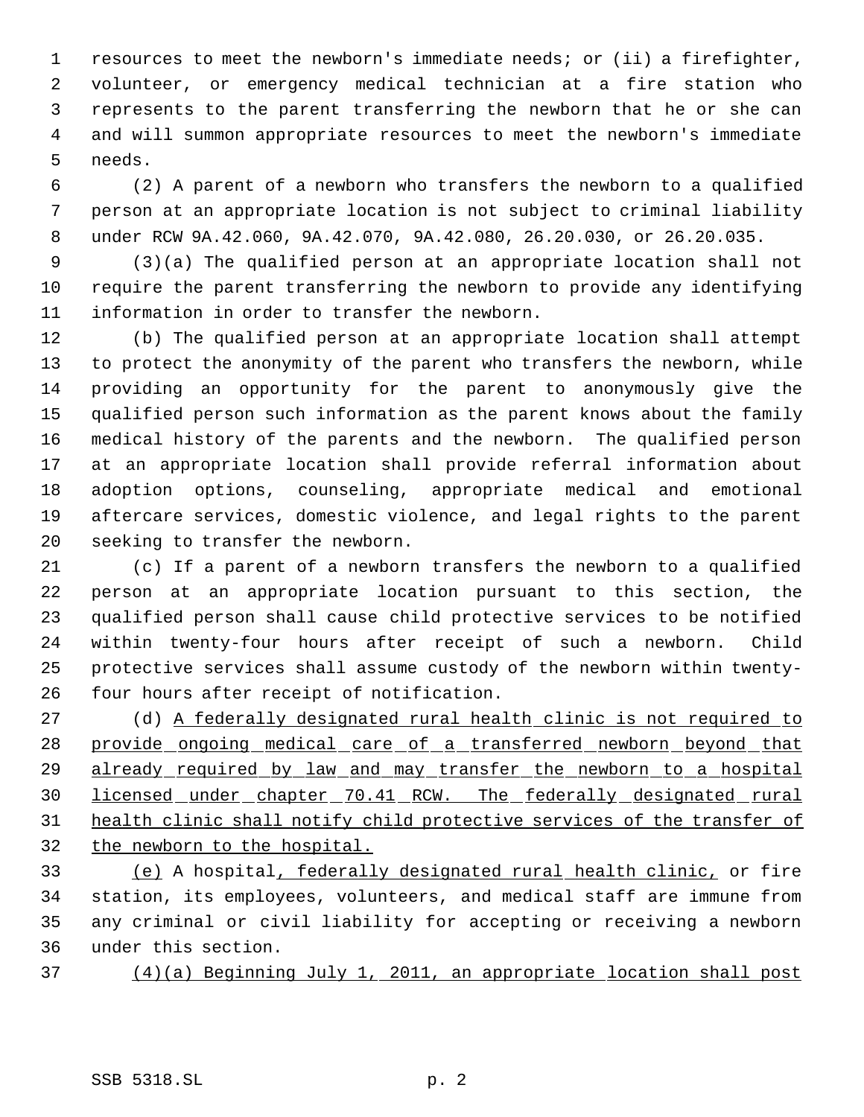resources to meet the newborn's immediate needs; or (ii) a firefighter, volunteer, or emergency medical technician at a fire station who represents to the parent transferring the newborn that he or she can and will summon appropriate resources to meet the newborn's immediate needs.

 (2) A parent of a newborn who transfers the newborn to a qualified person at an appropriate location is not subject to criminal liability under RCW 9A.42.060, 9A.42.070, 9A.42.080, 26.20.030, or 26.20.035.

 (3)(a) The qualified person at an appropriate location shall not require the parent transferring the newborn to provide any identifying information in order to transfer the newborn.

 (b) The qualified person at an appropriate location shall attempt to protect the anonymity of the parent who transfers the newborn, while providing an opportunity for the parent to anonymously give the qualified person such information as the parent knows about the family medical history of the parents and the newborn. The qualified person at an appropriate location shall provide referral information about adoption options, counseling, appropriate medical and emotional aftercare services, domestic violence, and legal rights to the parent seeking to transfer the newborn.

 (c) If a parent of a newborn transfers the newborn to a qualified person at an appropriate location pursuant to this section, the qualified person shall cause child protective services to be notified within twenty-four hours after receipt of such a newborn. Child protective services shall assume custody of the newborn within twenty-four hours after receipt of notification.

27 (d) <u>A federally designated rural health clinic is not required to</u> 28 provide ongoing medical care of a transferred newborn beyond that 29 already required by law and may transfer the newborn to a hospital 30 licensed under chapter 70.41 RCW. The federally designated rural health clinic shall notify child protective services of the transfer of the newborn to the hospital.

 (e) A hospital, federally designated rural health clinic, or fire station, its employees, volunteers, and medical staff are immune from any criminal or civil liability for accepting or receiving a newborn under this section.

(4)(a) Beginning July 1, 2011, an appropriate location shall post